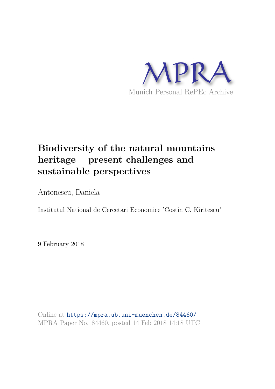

# **Biodiversity of the natural mountains heritage – present challenges and sustainable perspectives**

Antonescu, Daniela

Institutul National de Cercetari Economice 'Costin C. Kiritescu'

9 February 2018

Online at https://mpra.ub.uni-muenchen.de/84460/ MPRA Paper No. 84460, posted 14 Feb 2018 14:18 UTC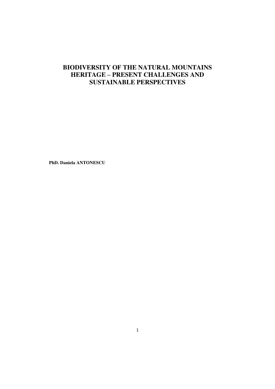# **BIODIVERSITY OF THE NATURAL MOUNTAINS HERITAGE – PRESENT CHALLENGES AND SUSTAINABLE PERSPECTIVES**

**PhD. Daniela ANTONESCU**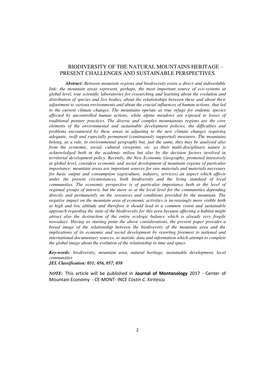# BIODIVERSITY OF THE NATURAL MOUNTAINS HERITAGE – PRESENT CHALLENGES AND SUSTAINABLE PERSPECTIVES

*Abstract: Between mountain regions and biodiversity exists a direct and indissoluble link: the mountain areas represent, perhaps, the most important source of eco-systems at global level, true scientific laboratories for researching and learning about the evolution and distribution of species and live bodies, about the relationships between these and about their adjustment to various environments and about the crucial influences of human actions, that led to the current climate changes. The mountains operate as true refuge for endemic species affected by uncontrolled human actions, while alpine meadows are exposed to losses of traditional pasture practices. The diverse and complex mountainous regions are the core elements of the environmental and sustainable development policies, the difficulties and problems encountered by these areas in adjusting to the new climate changes requiring adequate, swift and especially permanent (continuously supported) measures. The mountains belong, as a rule, to environmental geography but, just the same, they may be analysed also from the economic, social, cultural viewpoint, etc. as their multi-disciplinary nature is acknowledged both in the academic milieu but also by the decision factors involved in territorial development policy. Recently, the New Economic Geography, promoted intensively at global level, considers economic and social development of mountain regions of particular importance: mountain areas are important sources for raw materials and materials necessary for basic output and consumption (agriculture, industry, services) an aspect which affects under the present circumstances, both biodiversity and the living standard of local communities. The economic perspective is of particular importance both at the level of regional groups of interest, but the more so at the local level for the communities depending directly and permanently on the resources and conditions provided by the mountain. The negative impact on the mountain area of economic activities is increasingly more visible both at high and low altitude and therefore it should lead to a common vision and sustainable approach regarding the state of the biodiversity for this area because affecting a habitat might attract also the destruction of the entire ecologic balance which is already very fragile nowadays. Having as starting point the above considerations, the present paper provides a broad image of the relationship between the biodiversity of the mountain area and the implications of its economic and social development by resorting foremost to national and international documentary sources, to statistic data and information which attempt to complete the global image about the evolution of the relationship in time and space.* 

*Key-words: biodiversity, mountain area, natural heritage, sustainable development, local communities* 

*JEL Classification: 051; 056, 057; 058* 

*NOTE:* This article will be published in **Journal of Montanology** 2017 - Center of Mountain Economy - CE-MONT- INCE *Costin C. Kiritescu*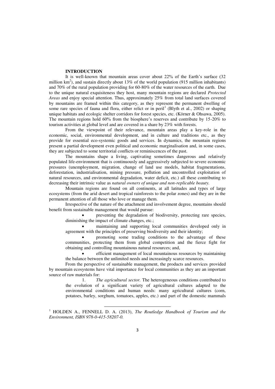# **INTRODUCTION**

It is well-known that mountain areas cover about 22% of the Earth's surface (32 million  $km^2$ ), and sustain directly about 13% of the world population (915 million inhabitants) and 70% of the rural population providing for 60-80% of the water resources of the earth. Due to the unique natural exquisiteness they host, many mountain regions are declared *Protected Areas* and enjoy special attention. Thus, approximately 25% from total land surfaces covered by mountains are framed within this category, as they represent the permanent dwelling of some rare species of fauna and flora, either relict or in peril<sup>1</sup> (Blyth et al., 2002) or shaping unique habitats and ecologic shelter corridors for forest species, etc. (Körner & Ohsawa, 2005). The mountain regions hold 60% from the biosphere's reserves and contribute by 15-20% to tourism activities at global level and are covered in a share by 23% with forests.

From the viewpoint of their relevance, mountain areas play a key-role in the economic, social, environmental development, and in culture and traditions etc., as they provide for essential eco-systemic goods and services. In dynamics, the mountain regions present a partial development even political and economic marginalisation and, in some cases, they are subjected to some territorial conflicts or reminiscences of the past.

The mountains shape a living, captivating sometimes dangerous and relatively populated life-environment that is continuously and aggressively subjected to severe economic pressures (unemployment, migration, change of land use models, habitat fragmentations, deforestation, industrialisation, mining pressure, pollution and uncontrolled exploitation of natural resources, and environmental degradation, water deficit, etc.) all these contributing to decreasing their intrinsic value as *natural owners of unique and non-replicable beauty.* 

Mountain regions are found on all continents, at all latitudes and types of large ecosystems (from the arid desert and tropical rainforests to the polar zones) and they are in the permanent attention of all those who love or manage them.

Irrespective of the nature of the attachment and involvement degree, mountains should benefit from sustainable management that would pursue:

 preventing the degradation of biodiversity, protecting rare species, diminishing the impact of climate changes, etc.;

 maintaining and supporting local communities developed only in agreement with the principles of preserving biodiversity and their identity;

 promoting some trading conditions to the advantage of these communities, protecting them from global competition and the fierce fight for obtaining and controlling mountainous natural resources; and,

 efficient management of local mountainous resources by maintaining the balance between the unlimited needs and increasingly scarce resources.

From the perspective of sustainable management, the products and services provided by mountain ecosystems have vital importance for local communities as they are an important source of raw materials for:

1. *The agricultural sector.* The heterogeneous conditions contributed to the evolution of a significant variety of agricultural cultures adapted to the environmental conditions and human needs: many agricultural cultures (corn, potatoes, barley, sorghum, tomatoes, apples, etc.) and part of the domestic mammals

<sup>1</sup> HOLDEN A., FENNELL D. A. (2013), *The Routledge Handbook of Tourism and the Environment, ISBN 978-0-415-58207-0.*

<u>.</u>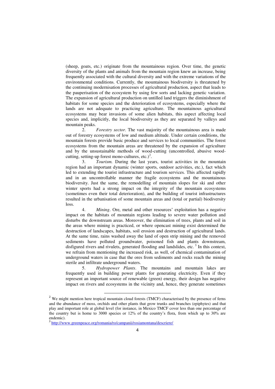(sheep, goats, etc.) originate from the mountainous region. Over time, the genetic diversity of the plants and animals from the mountain region knew an increase, being frequently associated with the cultural diversity and with the extreme variations of the environmental conditions. Currently, the mountainous biodiversity is threatened by the continuing modernisation processes of agricultural production, aspect that leads to the pauperisation of the ecosystem by using few sorts and lacking genetic variation. The expansion of agricultural production on untilled land triggers the diminishment of habitats for some species and the deterioration of ecosystems, especially where the lands are not adequate to practicing agriculture. The mountainous agricultural ecosystems may bear invasions of some alien habitats, this aspect affecting local species and, implicitly, the local biodiversity as they are separated by valleys and mountain peaks.<br>2.

2. *Forestry sector.* The vast majority of the mountainous area is made out of forestry ecosystems of low and medium altitude. Under certain conditions, the mountain forests provide basic produce and services to local communities. The forest ecosystems from the mountain areas are threatened by the expansion of agriculture and by the unsustainable methods of wood-cutting (uncontrolled, abusive woodcutting, setting-up forest mono-cultures, etc.)<sup>2</sup>.

3. *Tourism.* During the last years, tourist activities in the mountain region had an important dynamic (winter sports, outdoor activities, etc.), fact which led to extending the tourist infrastructure and tourism services. This affected rapidly and in an uncontrollable manner the fragile ecosystems and the mountainous biodiversity. Just the same, the remodelling of mountain slopes for ski and other winter sports had a strong impact on the integrity of the mountain ecosystems (sometimes even their total deterioration), and the building of tourist infrastructures resulted in the urbanisation of some mountain areas and (total or partial) biodiversity loss.

4. *Mining*. Ore, metal and other resources' exploitation has a negative impact on the habitats of mountain regions leading to severe water pollution and disturbs the downstream areas. Moreover, the elimination of trees, plants and soil in the areas where mining is practiced, or where opencast mining exist determined the destruction of landscapes, habitats, soil erosion and destruction of agricultural lands. At the same time, rains washed away the land of open strip mining and the removed sediments have polluted groundwater, poisoned fish and plants downstream, disfigured rivers and rivulets, generated flooding and landslides, etc.<sup>3</sup> In this context, we refrain from mentioning the increased risk, as well, of chemical contamination of underground waters in case that the ores from sediments and rocks reach the mining sterile and infiltrate underground waters.

5. *Hydropower Plants*. The mountains and mountain lakes are frequently used in building power plants for generating electricity. Even if they represent an important source of renewable (green) energy, their design has negative impact on rivers and ecosystems in the vicinity and, hence, they generate sometimes

**.** 

<sup>&</sup>lt;sup>2</sup> We might mention here tropical mountain cloud forests (TMCF) characterised by the presence of ferns and the abundance of moss, orchids and other plants that grow trunks and branches (epiphytes) and that play and important role at global level (for instance, in Mexico TMCF cover less than one percentage of the country but is home to 3000 species or 12% of the country's flora, from which up to 30% are endemic).

<sup>&</sup>lt;sup>3</sup> <http://www.greenpeace.org/romania/ro/campanii/rosiamontana/descriere/>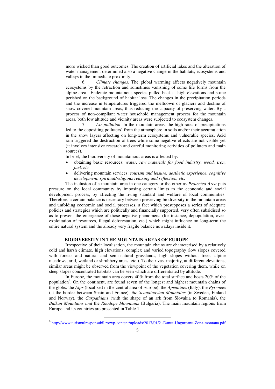more wicked than good outcomes. The creation of artificial lakes and the alteration of water management determined also a negative change in the habitats, ecosystems and valleys in the immediate proximity.<br>6. Climate changes.

6. *Climate changes*. The global warming affects negatively mountain ecosystems by the retraction and sometimes vanishing of some life forms from the alpine area. Endemic mountainous species pulled back at high elevations and some perished on the background of habitat loss. The changes in the precipitation periods and the increase in temperatures triggered the meltdown of glaciers and decline of snow covered mountain areas, thus reducing the capacity of preserving water. By a process of non-compliant water household management process for the mountain areas, both low altitude and vicinity areas were subjected to ecosystem changes.<br>  $\frac{7}{1}$  Air pollution. In the mountain areas, the high rates of precipi

Air *pollution*. In the mountain areas, the high rates of precipitations led to the depositing polluters' from the atmosphere in soils and/or their accumulation in the snow layers affecting on long-term ecosystems and vulnerable species. Acid rain triggered the destruction of trees while some negative effects are not visible yet (it involves intensive research and careful monitoring activities of polluters and main sources).

In brief, the biodiversity of mountainous areas is affected by:

- obtaining basic resources: *water, raw materials for food industry, wood, iron, fuel, etc.*
- delivering mountain services: *tourism and leisure, aesthetic experience, cognitive development, spiritual/religious relaxing and reflection, etc.*

The inclusion of a mountain area in one category or the other as *Protected Area* puts pressure on the local community by imposing certain limits to the economic and social development process, by affecting the living standard and welfare of local communities. Therefore, a certain balance is necessary between preserving biodiversity in the mountain areas and unfolding economic and social processes, a fact which presupposes a series of adequate policies and strategies which are politically and financially supported, very often subsidised so as to prevent the emergence of those negative phenomena (for instance, depopulation, overexploitation of resources, illegal deforestation, etc.) which might influence on long-term the entire natural system and the already very fragile balance nowadays inside it.

# **BIODIVERSITY IN THE MOUNTAIN AREAS OF EUROPE**

Irrespective of their localisation, the mountain chains are characterised by a relatively cold and harsh climate, high elevations, complex and varied topography (low slopes covered with forests and natural and semi-natural grasslands, high slopes without trees, alpine meadows, arid, wetland or shrubbery areas, etc.). To their vast majority, at different elevations, similar areas might be observed from the viewpoint of the vegetation covering them, while on steep slopes concentrated habitats can be seen which are differentiated by altitude.

In Europe, the mountain area covers 40% from the total surface and hosts 20% of the population<sup>4</sup>. On the continent, are found seven of the longest and highest mountain chains of the globs: the *Alps* (localized in the central area of Europe), the *Apennines* (Italy), the *Pyrenees*  (at the border between Spain and France), *the Scandinavian Mountains* (in Sweden, Finland and Norway), the *Carpathians* (with the shape of an ark from Slovakia to Romania), the *Balkan Mountains and* the *Rhodope Mountains* (Bulgaria). The main mountain regions from Europe and its countries are presented in Table 1.

 $\overline{a}$ 

<sup>&</sup>lt;sup>4</sup> <http://www.turismulresponsabil.ro/wp-content/uploads/2017/01/2.-Danut-Ungureanu-Zona-montana.pdf>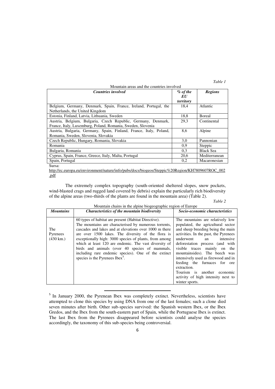*Table 1* 

| Mountain areas and the countries involved                                                                                    |                                |                  |  |  |  |  |  |
|------------------------------------------------------------------------------------------------------------------------------|--------------------------------|------------------|--|--|--|--|--|
| <b>Countries involved</b>                                                                                                    | $\%$ of the<br>EU<br>territory | <b>Regions</b>   |  |  |  |  |  |
| Belgium, Germany, Denmark, Spain, France, Ireland, Portugal, the<br>Netherlands, the United Kingdom                          | 18,4                           | Atlantic         |  |  |  |  |  |
| Estonia, Finland, Latvia, Lithuania, Sweden                                                                                  | 18,8                           | Boreal           |  |  |  |  |  |
| Austria, Belgium, Bulgaria, Czech Republic, Germany, Denmark,<br>France, Italy, Luxemburg, Poland, Romania, Sweden, Slovenia | 29.3                           | Continental      |  |  |  |  |  |
| Austria, Bulgaria, Germany, Spain, Finland, France, Italy, Poland,<br>Romania, Sweden, Slovenia, Slovakia                    | 8.6                            | Alpine           |  |  |  |  |  |
| Czech Republic, Hungary, Romania, Slovakia                                                                                   | 3,0                            | Pannonian        |  |  |  |  |  |
| Romania                                                                                                                      | 0.9                            | Steppic          |  |  |  |  |  |
| Bulgaria, Romania                                                                                                            | 0.3                            | <b>Black Sea</b> |  |  |  |  |  |
| Cyprus, Spain, France, Greece, Italy, Malta, Portugal                                                                        | 20,6                           | Mediterranean    |  |  |  |  |  |
| Spain, Portugal                                                                                                              | 0,2                            | Macaronesian     |  |  |  |  |  |
| Sursa:                                                                                                                       |                                |                  |  |  |  |  |  |

[http://ec.europa.eu/environment/nature/info/pubs/docs/biogeos/Steppic%20Region/KH7809607ROC\\_002](http://ec.europa.eu/environment/nature/info/pubs/docs/biogeos/Steppic%20Region/KH7809607ROC_002.pdf) [.pdf](http://ec.europa.eu/environment/nature/info/pubs/docs/biogeos/Steppic%20Region/KH7809607ROC_002.pdf)

The extremely complex topography (south-oriented sheltered slopes, snow pockets, wind-blasted crags and rugged land covered by debris) explain the particularly rich biodiversity of the alpine areas (two-thirds of the plants are found in the mountain area) (Table 2).

| <b>Mountains</b>                       | <b>Characteristics of the mountain biodiversity</b>                                                                                                                                                                                                                                                                                                                                                                                                                                             | Socio-economic characteristics                                                                                                                                                                                                                                                                                                                                                                                                                                           |
|----------------------------------------|-------------------------------------------------------------------------------------------------------------------------------------------------------------------------------------------------------------------------------------------------------------------------------------------------------------------------------------------------------------------------------------------------------------------------------------------------------------------------------------------------|--------------------------------------------------------------------------------------------------------------------------------------------------------------------------------------------------------------------------------------------------------------------------------------------------------------------------------------------------------------------------------------------------------------------------------------------------------------------------|
| The<br>Pyrenees<br>$(430 \text{ km.})$ | 60 types of habitat are present (Habitat Directive).<br>The mountains are characterised by numerous torrents,<br>cascades and lakes and at elevations over 1000 m there<br>are over 1500 lakes. The diversity of the flora is<br>exceptionally high: 3000 species of plants, from among<br>which at least 120 are endemic. The vast diversity of<br>birds and animals (over 40 species of mammals,<br>including rare endemic species). One of the extinct<br>species is the Pyrenees Ibex $5$ . | The mountains are relatively low<br>populated, the agricultural sector<br>and sheep breeding being the main<br>activities. In the past, the Pyrenees<br>underwent<br>intensive<br>an<br>deforestation process (and with<br>visible traces mainly on the<br>mountainsides). The beech was<br>intensively used as firewood and in<br>feeding the furnaces for ore<br>extraction.<br>Tourism is another<br>economic<br>activity of high intensity next to<br>winter sports. |

<sup>5</sup> In January 2000, the Pyrenean Ibex was completely extinct. Nevertheless, scientists have attempted to clone this species by using DNA from one of the last females; such a clone died seven minutes after birth. Other sub-species survived: the Spanish western Ibex, or the Ibex Gredos, and the Ibex from the south-eastern part of Spain, while the Portuguese Ibex is extinct. The last Ibex from the Pyrenees disappeared before scientists could analyse the species accordingly, the taxonomy of this sub-species being controversial.

<u>.</u>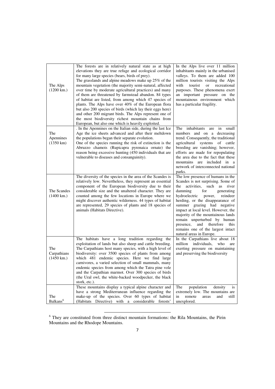| The Alps<br>$(1200 \text{ km.})$           | The forests are in relatively natural state as at high<br>elevations they are true refuge and ecological corridor<br>for many large species (bears, birds of prey).<br>The grasslands and alpine meadows make up 25% of the<br>mountain vegetation (the majority semi-natural, affected<br>over time by moderate agricultural practices) and many<br>of them are threatened by farmstead abandon. 84 types<br>of habitat are listed, from among which 47 species of<br>plants. The Alps have over 40% of the European flora<br>but also 200 species of birds (which lay their eggs here)<br>and other 200 migrant birds. The Alps represent one of<br>the most biodiversity richest mountain chains from<br>European, but also one which is heavily exploited. | In the Alps live over 11 million<br>inhabitants mainly in the urbanised<br>valleys. To them are added 100<br>million tourists visiting the Alps<br>with<br>tourist<br>recreational<br>or<br>purposes. These phenomena exert<br>an important pressure on the<br>mountainous environment which<br>has a particular fragility.                                                                                                                                             |
|--------------------------------------------|----------------------------------------------------------------------------------------------------------------------------------------------------------------------------------------------------------------------------------------------------------------------------------------------------------------------------------------------------------------------------------------------------------------------------------------------------------------------------------------------------------------------------------------------------------------------------------------------------------------------------------------------------------------------------------------------------------------------------------------------------------------|-------------------------------------------------------------------------------------------------------------------------------------------------------------------------------------------------------------------------------------------------------------------------------------------------------------------------------------------------------------------------------------------------------------------------------------------------------------------------|
| The<br>Apennines<br>$(1350 \text{ km})$    | . In the Apennines on the Italian side, during the last Ice<br>Age the ice sheets advanced and after their meltdown<br>the populations began their separate evolution.<br>One of the species running the risk of extinction is the<br>Abruzzo chamois (Rupicapra pyrenaica ornate) the<br>reason being excessive hunting (450 individuals that are<br>vulnerable to diseases and consanguinity).                                                                                                                                                                                                                                                                                                                                                               | inhabitants<br>The<br>are<br>small<br>in<br>numbers and on a decreasing<br>trend. Consequently, the traditional<br>agricultural systems of cattle<br>breeding are vanishing; however,<br>efforts are made for repopulating<br>the area due to the fact that these<br>mountains are included in a<br>network of interconnected national<br>parks.                                                                                                                        |
| The Scandes<br>$(1400 \text{ km.})$        | The diversity of the species in the area of the Scandes is<br>relatively low. Nevertheless, they represent an essential<br>component of the European biodiversity due to their<br>considerable size and the unaltered character. They are<br>counted among the few locations in Europe where we<br>might discover authentic wilderness. 44 types of habitat<br>are represented, 29 species of plants and 18 species of<br>animals (Habitats Directive).                                                                                                                                                                                                                                                                                                        | The low presence of humans in the<br>Scandes is not surprising. Some of<br>activities,<br>such as<br>the<br>river<br>damming<br>for<br>generating<br>hydroelectric power,<br>reindeer<br>herding, or the disappearance of<br>summer grazing had negative<br>impact at local level. However, the<br>majority of the mountainous lands<br>remain unperturbed by human<br>presence, and therefore<br>this<br>remains one of the largest intact<br>natural areas in Europe. |
| The<br>Carpathians<br>$(1450 \text{ km.})$ | The habitats have a long tradition regarding the<br>exploitation of lands but also sheep and cattle breeding.<br>The Carpathians host many species, with a high level of<br>biodiversity: over 3500 species of plants from among<br>which 481 endemic species. Here we find large<br>carnivores, a varied selection of small mammals, many<br>endemic species from among which the Tatra pine vole<br>and the Carpathian marmot. Over 300 species of birds<br>(the Ural owl, the white-backed woodpecker, the black<br>stork, etc.).                                                                                                                                                                                                                           | In the Carpathians live about 18<br>individuals,<br>million<br>who<br>are<br>exerting pressure on maintaining<br>and preserving the biodiversity                                                                                                                                                                                                                                                                                                                        |
| The<br>Balkans <sup>6</sup>                | These mountains display a typical alpine character and<br>have a strong Mediterranean influence regarding the<br>make-up of the species. Over 60 types of habitat<br>(Habitats Directive) with a considerable forests'                                                                                                                                                                                                                                                                                                                                                                                                                                                                                                                                         | The<br>population<br>density<br><b>1S</b><br>extremely low. The mountains are<br>in<br>remote<br>areas<br>and<br>still<br>unexplored.                                                                                                                                                                                                                                                                                                                                   |

<sup>&</sup>lt;sup>6</sup> They are constituted from three distinct mountain formations: the Rila Mountains, the Pirin Mountains and the Rhodope Mountains.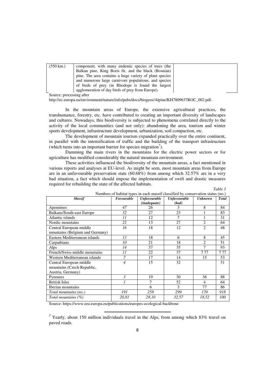| $(550 \text{ km.})$ | component, with many endemic species of trees (the      |
|---------------------|---------------------------------------------------------|
|                     | Balkan pine, King Boris fir, and the black (Bosnian)    |
|                     | pine. The area contains a huge variety of plant species |
|                     | and numerous large carnivore populations, and species   |
|                     | of birds of prey (in Rhodope is found the largest       |
|                     | agglomeration of day birds of prey from Europe).        |

Source: processing after

[http://ec.europa.eu/environment/nature/info/pubs/docs/biogeos/Alpine/KH7809637ROC\\_002.pdf.](http://ec.europa.eu/environment/nature/info/pubs/docs/biogeos/Alpine/KH7809637ROC_002.pdf)

In the mountain areas of Europe, the extensive agricultural practices, the transhumance, forestry, etc. have contributed to creating an important diversity of landscapes and cultures. Nowadays, this biodiversity is subjected to phenomena correlated directly to the activity of the local communities (and not only): abandoning the area, tourism and winter sports development, infrastructure development, urbanization, soil compaction, etc.

The development of mountain tourism expanded practically over the entire continent, in parallel with the intensification of traffic and the building of the transport infrastructure (which turns into an important barrier for species migration<sup>7</sup>).

Damming the main rivers in the mountains for the electric power sectors or for agriculture has modified considerably the natural mountain environment.

These activities influenced the biodiversity of the mountain areas, a fact mentioned in various reports and analyses at EU-level. As might be seen, most mountain areas from Europe are in an unfavourable preservation state (60.68%) from among which 32.57% are in a very bad situation, a fact which should impose the implementation of swift and drastic measures required for rebuilding the state of the affected habitats.

| "able |  |
|-------|--|
|-------|--|

| Numbers of habitat types in each massif classified by conservation status (no.) |                |                       |                     |                |              |  |  |  |
|---------------------------------------------------------------------------------|----------------|-----------------------|---------------------|----------------|--------------|--|--|--|
| <b>Massif</b>                                                                   | Favourable     | <b>Unfavourable</b>   | <b>Unfavourable</b> | <b>Unknown</b> | <b>Total</b> |  |  |  |
|                                                                                 |                | ( <i>inadequate</i> ) | (bad)               |                |              |  |  |  |
| Apennines                                                                       | 47             | 26                    | 3                   | 8              | 84           |  |  |  |
| Balkans/South-east Europe                                                       | 32             | 27                    | 23                  |                | 83           |  |  |  |
| Atlantic islands                                                                | 11             | 12                    | 7                   | 1              | 31           |  |  |  |
| Nordic mountains                                                                | 22             | 13                    | 27                  | $\overline{2}$ | 64           |  |  |  |
| Central European middle                                                         | 16             | 18                    | 12                  | $\overline{2}$ | 48           |  |  |  |
| mountains (Belgium and Germany)                                                 |                |                       |                     |                |              |  |  |  |
| Eastern Mediterranean islands                                                   | 13             | 18                    | 6                   | 8              | 45           |  |  |  |
| Carpathians                                                                     | 10             | 21                    | 18                  | $\overline{2}$ | 51           |  |  |  |
| Alps                                                                            | 14             | 37                    | 35                  | 7              | 93           |  |  |  |
| French/Swiss middle mountains                                                   | 11             | 22                    | 37                  | 777            | 777          |  |  |  |
| Western Mediterranean islands                                                   | 7              | 17                    | 14                  | 15             | 53           |  |  |  |
| Central European middle                                                         | $\overline{4}$ | 15                    | 32                  |                | 51           |  |  |  |
| mountains (Czech Republic,                                                      |                |                       |                     |                |              |  |  |  |
| Austria, Germany)                                                               |                |                       |                     |                |              |  |  |  |
| Pyrenees                                                                        | 3              | 19                    | 30                  | 36             | 88           |  |  |  |
| <b>British Isles</b>                                                            | 1              | 7                     | 52                  | $\overline{4}$ | 64           |  |  |  |
| Iberian mountains                                                               |                | 6                     | 3                   | 77             | 86           |  |  |  |
| Total mountains (no.)                                                           | 191            | 258                   | 299                 | 170            | 918          |  |  |  |
| Total mountains (%)                                                             | 20,81          | 28,10                 | 32,57               | 18,52          | 100          |  |  |  |
|                                                                                 |                |                       |                     |                |              |  |  |  |

Source:<https://www.eea.europa.eu/publications/europes-ecological-backbone>

 $\overline{a}$ 

<sup>7</sup> Yearly, about 150 million individuals travel in the Alps, from among which 83% travel on paved roads.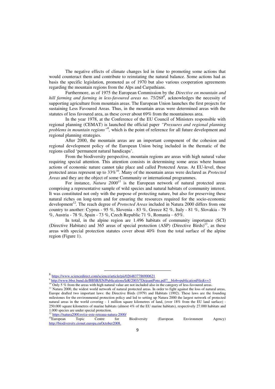The negative effects of climate changes led in time to promoting some actions that would counteract them and contribute to reinstating the natural balance. Some actions had as basis the specific legislation, promoted as of 1970 but also various cooperation agreements regarding the mountain regions from the Alps and Carpathians.

Furthermore, as of 1975 the European Commission by the *Directive on mountain and*  hill farming and farming in less-favoured areas no. 75/268<sup>8</sup>, acknowledges the necessity of supporting agriculture from mountain areas. The European Union launches the first projects for sustaining Less Favoured Areas. Thus, in the mountain areas were determined areas with the statutes of less favoured area, as these cover about 69% from the mountainous area.

In the year 1978, at the Conference of the EU Council of Ministers responsible with regional planning (CEMAT) is launched the official paper *"Pressures and regional planning problems in mountain regions*<sup>"9</sup>, which is the point of reference for all future development and regional planning strategies.

After 2000, the mountain areas are an important component of the cohesion and regional development policy of the European Union being included in the thematic of the regions called 'permanent natural handicaps'.

From the biodiversity perspective, mountain regions are areas with high natural value requiring special attention. This attention consists in determining some areas where human actions of economic nature cannot take place and called Protected Areas. At EU-level, these protected areas represent up to 33%<sup>10</sup>. Many of the mountain areas were declared as *Protected Areas* and they are the object of some Community or international programmes.

For instance, *Natura*  $2000<sup>11</sup>$  is the European network of natural protected areas comprising a representative sample of wild species and natural habitats of community interest. It was constituted not only with the purpose of protecting nature, but also for preserving these natural riches on long-term and for ensuring the resources required for the socio-economic development<sup>12</sup>. The reach degree of *Protected Areas* included in Natura 2000 differs from one country to another: Cyprus - 95 %, Slovenia - 83 %, Greece 82 %, Italy - 81 %, Slovakia - 79 %, Austria - 78 %, Spain - 73 %, Czech Republic 71 %, Romania – 65%.

In total, in the alpine region are 1.496 habitats of community importance (SCI) (Directive Habitats) and  $365$  areas of special protection (ASP) (Directive Birds)<sup>13</sup>, as these areas with special protection statutes cover about 40% from the total surface of the alpine region (Figure 1).

 $^{12}$  <https://natura2000.ro/ce-este-reteaua-natura-2000/><br> $^{13}$ European Topic Centre for <sup>13</sup>European Topic Centre for Biodiversity (European Environment Agency) [http://biodiversity.eionet.europa.euOctober2008.](http://biodiversity.eionet.europa.euoctober2008/)

**<sup>.</sup>** 8 <https://www.sciencedirect.com/science/article/pii/0264837786900621>

<sup>&</sup>lt;sup>9</sup>[http://www.bbsr.bund.de/BBSR/EN/Publications/IzR/2003/7DejeantPons.pdf?\\_\\_blob=publicationFile&v=3](http://www.bbsr.bund.de/BBSR/EN/Publications/IzR/2003/7DejeantPons.pdf?__blob=publicationFile&v=3)

<sup>&</sup>lt;sup>10</sup> Only 5 % from the areas with high natural value are not included also in the category of less-favoured areas.

<sup>&</sup>lt;sup>11</sup> Natura 2000, the widest world network of natural protected areas. In order to fight against the loss of natural areas, Europe drafted two important laws: the Directive Birds (1979) and Habitats (1992). These laws are the founding milestones for the environmental protection policy and led to setting up Natura 2000 the largest network of protected natural areas in the world covering - 1 million square kilometres of land, (over 18% from the EU land surface) - 250.000 square kilometres of marine habitats (almost 4% of the EU marine habitats), respectively 27.000 habitats and 1.000 species are under special protection.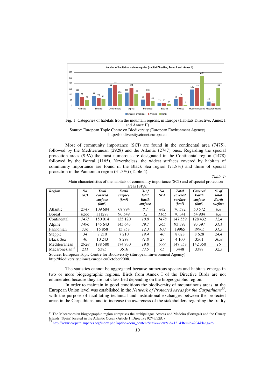

Fig. 1: Categories of habitats from the mountain regions, in Europe (Habitats Directive, Annex I and Annex II) Source: European Topic Centre on Biodiversity (European Environment Agency)

[http://biodiversity.eionet.europa.eu](http://biodiversity.eionet.europa.eu/) 

Most of community importance (SCI) are found in the continental area (7475), followed by the Mediterranean (2928) and the Atlantic (2747) ones. Regarding the special protection areas (SPA) the most numerous are designated in the Continental region (1478) followed by the Boreal (1165). Nevertheless, the widest surfaces covered by habitats of community importance are found in the Black Sea region (71.8%) and those of special protection in the Pannonian region (31.3%) (Table 4).

*Table 4:* 

| areas (SPA)                |            |                    |                    |         |            |                    |                    |         |  |
|----------------------------|------------|--------------------|--------------------|---------|------------|--------------------|--------------------|---------|--|
| <b>Region</b>              | No.        | <b>Total</b>       | Earth              | $%$ of  | No.        | <b>Total</b>       | Covered            | $%$ of  |  |
|                            | <b>SCI</b> | covered            | surface            | total   | <b>SPA</b> | covered            | Earth              | total   |  |
|                            |            | surface            | (km <sup>2</sup> ) | Earth   |            | surface<br>surface |                    | Earth   |  |
|                            |            | (km <sup>2</sup> ) |                    | surface |            | (km <sup>2</sup> ) | (km <sup>2</sup> ) | surface |  |
| Atlantic                   | 2747       | 109 684            | 68 794             | 8.7     | 882        | 76 572             | 50 572             | 6,8     |  |
| Boreal                     | 6266       | 111278             | 96 549             | 12      | 1165       | 70 341             | 54 904             | 6,8     |  |
| Continental                | 7475       | 150 014            | 135 120            | 10,8    | 1478       | 147 559            | 128 432            | 12,4    |  |
| Alpine                     | 1496       | 145 643            | 145 643            | 39.7    | 365        | 93 397             | 93 397             | 31.1    |  |
| Pannonian                  | 756        | 15858              | 15858              | 12,3    | 100        | 19965              | 19965              | 31,3    |  |
| Steppic                    | 34         | 7 2 1 0            | 7 2 1 0            | 19.4    | 40         | 8628               | 8628               | 24.4    |  |
| <b>Black Sea</b>           | 40         | 10 243             | 8 2 9 8            | 71.8    | 27         | 4 100              | 3561               | 30.8    |  |
| Mediterranean              | 2928       | 188 580            | 174 930            | 19,8    | 999        | 147 358            | 142 350            | 16      |  |
| Macaronesian <sup>14</sup> | 211        | 5385               | 3516               | 33.5    | 65         | 3448               | 3388               | 32,3    |  |

Main characteristics of the habitats of community importance (SCI) and of special protection

Source: European Topic Centre for Biodiversity (European Environment Agency) [http://biodiversity.eionet.europa.euOctober2008.](http://biodiversity.eionet.europa.euoctober2008/) 

 $\overline{a}$ 

The statistics cannot be aggregated because numerous species and habitats emerge in two or more biogeographic regions. Birds from Annex I of the Directive Birds are not enumerated because they are not classified depending on the biogeographic region.

In order to maintain in good conditions the biodiversity of mountainous areas, at the European Union level was established in the *Network of Protected Areas for the Carpathians*<sup>15</sup> , with the purpose of facilitating technical and institutional exchanges between the protected areas in the Carpathians, and to increase the awareness of the stakeholders regarding the frailty

<sup>&</sup>lt;sup>14</sup> The Macaronesian biogeographic region comprises the archipelagos Azores and Madeira (Portugal) and the Canary Islands (Spain) located in the Atlantic Ocean (Article 1, Directive 92/43/EEC).

<sup>15</sup> [http://www.carpathianparks.org/index.php?option=com\\_content&task=view&id=121&Itemid=204&lang=ro](http://www.carpathianparks.org/index.php?option=com_content&task=view&id=121&Itemid=204&lang=ro)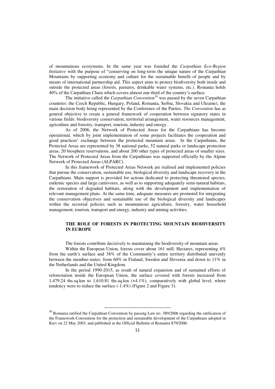of mountainous ecosystems. In the same year was founded the *Carpathian Eco-Region Initiative* with the purpose of "conserving on long-term the unique nature of the Carpathian Mountains by supporting economy and culture for the sustainable benefit of people and by means of international partnership aid. This aspect aims to protect biodiversity both inside and outside the protected areas (forests, pastures, drinkable water systems, etc.). Romania holds 40% of the Carpathian Chain which covers almost one third of the country's surface.

The initiative called the *Carpathian Convention<sup>16</sup>* was passed by the seven Carpathian countries: the Czech Republic, Hungary, Poland, Romania, Serbia, Slovakia and Ukraine), the main decision body being represented by the Conference of the Parties. *The Convention* has as general objective to create a general framework of cooperation between signatory states in various fields: biodiversity conservation, territorial arrangement, water resources management, agriculture and forestry, transport, tourism, industry and energy.

As of 2006, the Network of Protected Areas for the Carpathians has become operational, which by joint implementation of some projects facilitates the cooperation and good practices' exchange between the protected mountain areas. In the Carpathians, the Protected Areas are represented by 38 national parks, 52 natural parks or landscape protection areas, 20 biosphere reservations, and about 200 other types of protected areas of smaller sizes. The Network of Protected Areas from the Carpathians was supported officially by the Alpine Network of Protected Areas (ALPARC).

In this framework of Protected Areas Network are realised and implemented policies that pursue the conservation, sustainable use, biological diversity and landscape recovery in the Carpathians. Main support is provided for actions dedicated to protecting threatened species, endemic species and large carnivores, as well as to supporting adequately semi-natural habitats, the restoration of degraded habitats, along with the development and implementation of relevant management plans. At the same time, adequate measures are promoted for integrating the conservation objectives and sustainable use of the biological diversity and landscapes within the sectorial policies such as mountainous agriculture, forestry, water household management, tourism, transport and energy, industry and mining activities.

## **THE ROLE OF FORESTS IN PROTECTING MOUNTAIN BIODIVERSITY IN EUROPE**

The forests contribute decisively to maintaining the biodiversity of mountain areas.

Within the European Union, forests cover about 161 mill. Hectares, representing  $4\%$ from the earth's surface and 38% of the Community's entire territory distributed unevenly between the member-states: from 60% in Finland, Sweden and Slovenia and down to 11% in the Netherlands and the United Kingdom.

In the period 1990-2015, as result of natural expansion and of sustained efforts of reforestation inside the European Union, the surface covered with forests increased from 1,479.24 ths.sq.km to 1,610.81 ths.sq.km (+4.1%), comparatively with global level, where tendency were to reduce the surface  $(-1.4\%)$  (Figure 2 and Figure 3).

 $\overline{a}$ 

<sup>&</sup>lt;sup>16</sup> Romania ratified the Carpathian Convention by passing Law no. 389/2006 regarding the ratification of the Framework-Convention for the protection and sustainable development of the Carpathians adopted in Kiev on 22 May 2003, and published in the Official Bulletin of Romania 879/2006.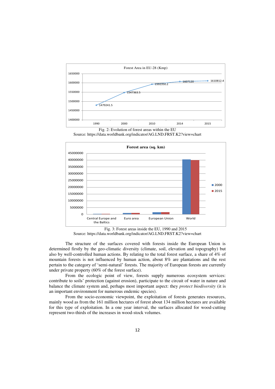





Fig. 3: Forest areas inside the EU, 1990 and 2015 Source:<https://data.worldbank.org/indicator/AG.LND.FRST.K2?view=chart>

The structure of the surfaces covered with forests inside the European Union is determined firstly by the geo-climatic diversity (climate, soil, elevation and topography) but also by well-controlled human actions. By relating to the total forest surface, a share of 4% of mountain forests is not influenced by human action, about 8% are plantations and the rest pertain to the category of 'semi-natural' forests. The majority of European forests are currently under private property (60% of the forest surface).

From the ecologic point of view, forests supply numerous ecosystem services: contribute to soils' protection (against erosion), participate to the circuit of water in nature and balance the climate system and, perhaps most important aspect: they *protect biodiversity* (it is an important environment for numerous endemic species).

From the socio-economic viewpoint, the exploitation of forests generates resources, mainly wood as from the 161 million hectares of forest about 134 million hectares are available for this type of exploitation. In a one year interval, the surfaces allocated for wood-cutting represent two-thirds of the increases in wood-stock volumes.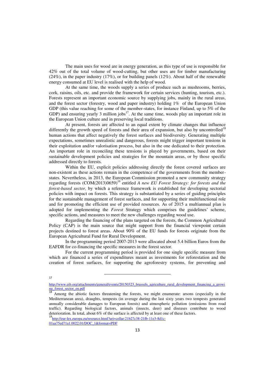The main uses for wood are in energy generation, as this type of use is responsible for 42% out of the total volume of wood-cutting, but other uses are for timber manufacturing (24%), in the paper industry (17%), or for building panels (12%). About half of the renewable energy consumed at EU level is realised with the help of wood.

At the same time, the woods supply a series of produce such as mushrooms, berries, cork, raisins, oils, etc. and provide the framework for certain services (hunting, tourism, etc.). Forests represent an important economic source by supplying jobs, mainly in the rural areas, and the forest sector (forestry, wood and paper industry) holding 1% of the European Union GDP (this value reaching for some of the member-states, for instance Finland, up to 5% of the GDP) and ensuring yearly 3 million jobs<sup>17</sup>. At the same time, woods play an important role in the European Union culture and in preserving local traditions.

At present, forests are affected to an equal extent by climate changes that influence differently the growth speed of forests and their area of expansion, but also by uncontrolled<sup>18</sup> human actions that affect negatively the forest surfaces and biodiversity. Generating multiple expectations, sometimes unrealistic and dangerous, forests might trigger important tensions in their exploitation and/or valorisation process, but also in the one dedicated to their protection. An important role in reconciling these tensions is played by governments, based on their sustainable development policies and strategies for the mountain areas, or by those specific addressed directly to forests.

Within the EU, explicit policies addressing directly the forest covered surfaces are non-existent as these actions remain in the competence of the governments from the memberstates. Nevertheless, in 2013, the European Commission promoted a new community strategy regarding forests (COM(2013)0659)<sup>19</sup> entitled *A new EU Forest Strategy: for forests and the forest-based sector,* by which a reference framework is established for developing sectorial policies with impact on forests. This strategy is substantiated by a series of guiding principles for the sustainable management of forest surfaces, and for supporting their multifunctional role and for promoting the efficient use of provided resources. As of 2015 a multiannual plan is adopted for implementing the *Forest* Strategy which comprises the guidelines' scheme, specific actions, and measures to meet the new challenges regarding wood use.

Regarding the financing of the plans targeted on the forests, the Common Agricultural Policy (CAP) is the main source that might support from the financial viewpoint certain projects destined to forest areas. About 90% of the EU funds for forests originate from the European Agricultural Fund for Rural Development.

In the programming period 2007-2013 were allocated about 5.4 billion Euros from the EAFDR for co-financing the specific measures in the forest sector.

For the current programming period is provided for one single specific measure from which are financed a series of expenditures meant as investments for reforestation and the creation of forest surfaces, for supporting the agroforestry systems, for preventing and

17

 $\overline{a}$ 

[http://www.eib.org/attachments/general/events/20150323\\_brussels\\_agriculture\\_rural\\_development\\_financing\\_a\\_growi](http://www.eib.org/attachments/general/events/20150323_brussels_agriculture_rural_development_financing_a_growing_forest_sector_en.pdf) ng forest sector en.pdf

Among the abiotic factors threatening the forests, we might enumerate: arsons (especially in the Mediterranean area), draughts, tempests (in average during the last sixty years two tempests generated annually considerable damages to European forests) and atmospheric pollution (emissions from road traffic). Regarding biological factors, animals (insects, deer) and diseases contribute to wood deterioration. In total, about 6% of the surface is affected by at least one of these factors.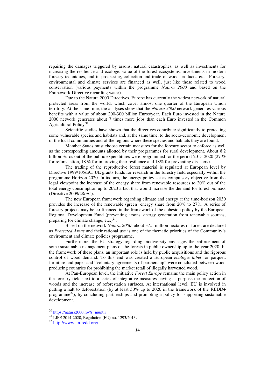repairing the damages triggered by arsons, natural catastrophes, as well as investments for increasing the resilience and ecologic value of the forest ecosystems, investments in modern forestry techniques, and in processing, collection and trade of wood products, etc. Forestry, environmental and climate services are financed as well, just like those related to wood conservation (various payments within the programme *Natura 2000* and based on the Framework-Directive regarding water).

Due to the Natura 2000 Directives, Europe has currently the widest network of natural protected areas from the world, which cover almost one quarter of the European Union territory. At the same time, the analyses show that the *Natura 2000* network generates various benefits with a value of about 200-300 billion Euros/year. Each Euro invested in the Nature 2000 network generates about 7 times more jobs than each Euro invested in the Common Agricultural Policy<sup>20</sup>.

Scientific studies have shown that the directives contribute significantly to protecting some vulnerable species and habitats and, at the same time, to the socio-economic development of the local communities and of the regions where these species and habitats they are found.

Member States must choose certain measures for the forestry sector to enforce as well as the corresponding amounts allotted by their programmes for rural development. About 8.2 billion Euros out of the public expenditures were programmed for the period 2015-2020 (27 % for reforestation, 18 % for improving their resilience and 18% for preventing disasters).

The trading of the reproductive forest material is regulated at European level by Directive 1999/105/EC. UE grants funds for research in the forestry field especially within the programme Horizon 2020. In its turn, the energy policy set as compulsory objective from the legal viewpoint the increase of the energy share from renewable resources to 20% out of the total energy consumption up to 2020 a fact that would increase the demand for forest biomass (Directive 2009/28/EC).

The new European framework regarding climate and energy at the time-horizon 2030 provides the increase of the renewable (green) energy share from 20% to 27%. A series of forestry projects may be co-financed in the framework of the cohesion policy by the European Regional Development Fund (preventing arsons, energy generation from renewable sources, preparing for climate change, etc.) $^{21}$ .

Based on the network *Natura 2000*, about 37.5 million hectares of forest are declared as *Protected Areas* and their rational use is one of the thematic priorities of the Community's environment and climate policies programme.

Furthermore, the EU strategy regarding biodiversity envisages the enforcement of some sustainable management plans of the forests in public ownership up to the year 2020. In the framework of these plans, an important role is held by public acquisitions and the rigorous control of wood demand. To this end was created a European *ecologic label* for parquet, furniture and paper and "voluntary agreements of partnership" were concluded between wood producing countries for prohibiting the market retail of illegally harvested wood.

At Pan-European level, the initiative *Forest Europe* remains the main policy action in the forestry field next to a series of integrative measures having as purpose the protection of woods and the increase of reforestation surfaces. At international level, EU is involved in putting a halt to deforestation (by at least 50% up to 2020 in the framework of the REDD+ programme<sup>22</sup>), by concluding partnerships and promoting a policy for supporting sustainable development.

<u>.</u>

<sup>20</sup> <https://natura2000.ro/?s=muntii>

<sup>21</sup> LIFE 2014-2020, Regulation (EU) no. 1293/2013.

<sup>22</sup> <http://www.un-redd.org/>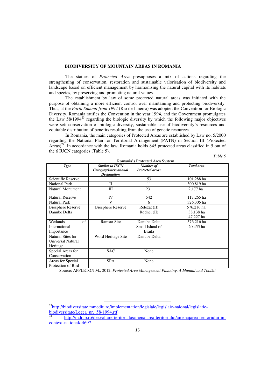#### **BIODIVERSITY OF MOUNTAIN AREAS IN ROMANIA**

The statues of *Protected Area* presupposes a mix of actions regarding the strengthening of conservation, restoration and sustainable valorisation of biodiversity and landscape based on efficient management by harmonising the natural capital with its habitats and species, by preserving and promoting natural values.

The establishment by law of some protected natural areas was initiated with the purpose of obtaining a more efficient control over maintaining and protecting biodiversity. Thus, at the *Earth Summit from 1992* (Rio de Janeiro) was adopted the Convention for Biologic Diversity. Romania ratifies the Convention in the year 1994, and the Government promulgates the Law 58/1994<sup>23</sup> regarding the biologic diversity by which the following major objectives were set: conservation of biologic diversity, sustainable use of biodiversity's resources and equitable distribution of benefits resulting from the use of genetic resources.

In Romania, the main categories of Protected Areas are established by Law no. 5/2000 regarding the National Plan for Territorial Arrangement (PATN) in Section III (Protected Areas)<sup>24</sup>. In accordance with the law, Romania holds 845 protected areas classified in 5 out of the 6 IUCN categories (Table 5).

|                                                    | Romania's Protected Area System                                        |                                           |                                       |  |  |  |  |
|----------------------------------------------------|------------------------------------------------------------------------|-------------------------------------------|---------------------------------------|--|--|--|--|
| Type                                               | <b>Similar to IUCN</b><br>Category/International<br><b>Designation</b> | Number of<br><b>Protected areas</b>       | <b>Total</b> area                     |  |  |  |  |
| Scientific Reserve                                 |                                                                        | 53                                        | 101,288 ha                            |  |  |  |  |
| <b>National Park</b>                               | H                                                                      | 11                                        | 300,819 ha                            |  |  |  |  |
| <b>Natural Monument</b>                            | Ш                                                                      | 231                                       | 2,177 ha                              |  |  |  |  |
| <b>Natural Reserve</b>                             | IV                                                                     | 542                                       | 117,265 ha                            |  |  |  |  |
| <b>Natural Park</b>                                | V                                                                      | 6                                         | 326,305 ha                            |  |  |  |  |
| <b>Biosphere Reserve</b><br>Danube Delta           | <b>Biosphere Reserve</b>                                               | $Retezat$ (II)<br>Rodnei (II)             | 576,216 ha.<br>38,138 ha<br>47,227 ha |  |  |  |  |
| of<br>Wetlands<br>International<br>Importance      | <b>Ramsar Site</b>                                                     | Danube Delta<br>Small Island of<br>Braila | 576,216 ha<br>20,455 ha               |  |  |  |  |
| Natural Sites for<br>Universal Natural<br>Heritage | Word Heritage Site                                                     | Danube Delta                              |                                       |  |  |  |  |
| Special Areas for<br>Conservation                  | <b>SAC</b>                                                             | None                                      |                                       |  |  |  |  |
| Areas for Special<br>Protection of Bird            | <b>SPA</b>                                                             | None                                      |                                       |  |  |  |  |

Romania's Protected Area System

*Table 5* 

Source: APPLETON M., 2012, *Protected Area Management Planning, A Manual and Toolkit*

 $\overline{a}$ 

<sup>&</sup>lt;sup>23</sup>[http://biodiversitate.mmediu.ro/implementation/legislaie/legislaie-naional/legislatie](http://biodiversitate.mmediu.ro/implementation/legislaie/legislaie-naional/legislatie-biodiversitate/Legea_nr._58-1994.rtf)[biodiversitate/Legea\\_nr.\\_58-1994.rtf](http://biodiversitate.mmediu.ro/implementation/legislaie/legislaie-naional/legislatie-biodiversitate/Legea_nr._58-1994.rtf)

<sup>24</sup> [http://mdrap.ro/dezvoltare-teritoriala/amenajarea-teritoriului/amenajarea-teritoriului-in](http://mdrap.ro/dezvoltare-teritoriala/amenajarea-teritoriului/amenajarea-teritoriului-in-context-national/-4697)[context-national/-4697](http://mdrap.ro/dezvoltare-teritoriala/amenajarea-teritoriului/amenajarea-teritoriului-in-context-national/-4697)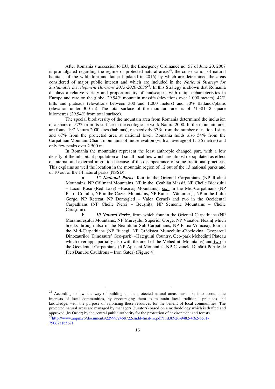After Romania's accession to EU, the Emergency Ordinance no. 57 of June 20, 2007 is promulgated regarding the regime of protected natural areas<sup>25</sup>, the conservation of natural habitats, of the wild flora and fauna (updated in 2016) by which are determined the areas considered of major public interest and which are included in the *National Strategy for Sustainable Development Horizons 2013-2020-2030*<sup>26</sup>. In this Strategy is shown that Romania displays a relative variety and proportionality of landscapes, with unique characteristics in Europe and rare on the globe: 29.94% mountain massifs (elevations over 1.000 meters), 42% hills and plateaus (elevations between 300 and 1.000 meters) and 30% flatlands/plains (elevation under 300 m). The total surface of the mountain area is of 71.381,48 square kilometres (29.94% from total surface).

The special biodiversity of the mountain area from Romania determined the inclusion of a share of 57% from its surface in the ecologic network Natura 2000. In the mountain area are found 197 Natura 2000 sites (habitats), respectively 37% from the number of national sites and 67% from the protected area at national level. Romania holds also 54% from the Carpathian Mountain Chain, mountains of mid-elevation (with an average of 1.136 metres) and only few peaks over 2.500 m.

In Romania the mountains represent the least anthropic changed part, with a low density of the inhabitant population and small localities which are almost depopulated as effect of internal and external migration because of the disappearance of some traditional practices. This explains as well the location in the mountain region of 12 out of the 13 national parks and of 10 out of the 14 natural parks (NSSD):

a. *12 National Parks*, four in the Oriental Carpathians (NP Rodnei Mountains, NP Călimani Mountains, NP in the Ceahlău Massif, NP Cheile Bicazului – Lacul Roşu (Red Lake) –Hăşmaş Mountains), şix in the Mid-Carpathians (NP Piatra Craiului, NP in the Coziei Mountains, NP Buila – Vânturariţa, NP in the Jiului Gorge, NP Retezat, NP Domogled - Valea Cernei) and two in the Occidental Carpathians (NP Cheile Nerei – Beuşniţa, NP Semenic Mountains – Cheile Caraşului).

b. **10 Natural Parks**, from which four in the Oriental Carpathians (NP Maramureşului Mountains, NP Mureşului Superior Gorge, NP Vânători Neamţ which breaks through also in the Neamtului Sub-Carpathians, NP Putna-Vrancea), four in the Mid-Carpathians (NP Bucegi, NP Grădiştea Muncelului-Cioclovina, Geoparcul Dinozaurilor (Dinosaurs' Geo-park) –Hategului Country, Geo-park Mehedinți Plateau which overlapps partially also with the areal of the Mehedinti Mountains) and two in the Occidental Carpathians (NP Apuseni Mountains, NP Cazanele Dunării-Porţile de Fier(Danube Cauldrons – Iron Gates) (Figure 4).

<sup>25</sup> According to law, the way of building up the protected natural areas must take into account the interests of local communities, by encouraging them to maintain local traditional practices and knowledge, with the purpose of valorising these resources for the benefit of local communities. The protected natural areas are managed by managers (curators) based on a methodology which is drafted and approved (by Order) by the central public authority for the protection of environment and forests. <sup>26</sup>[http://www.anpm.ro/documents/22999/2468722/sndd-final-ro.pdf/11d3b926-9482-4f62-bc61-](http://www.anpm.ro/documents/22999/2468722/sndd-final-ro.pdf/11d3b926-9482-4f62-bc61-79067a1b567f) [79067a1b567f](http://www.anpm.ro/documents/22999/2468722/sndd-final-ro.pdf/11d3b926-9482-4f62-bc61-79067a1b567f)

**.**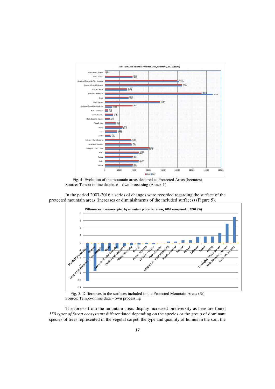

Fig. 4: Evolution of the mountain areas declared as Protected Areas (hectares) Source: Tempo-online database – own processing (Annex 1)

In the period 2007-2016 a series of changes were recorded regarding the surface of the protected mountain areas (increases or diminishments of the included surfaces) (Figure 5).



Fig. 5: Differences in the surfaces included in the Protected Mountain Areas (%) Source: Tempo-online data – own processing

The forests from the mountain areas display increased biodiversity as here are found *150 types of forest ecosystems* differentiated depending on the species or the group of dominant species of trees represented in the vegetal carpet, the type and quantity of humus in the soil, the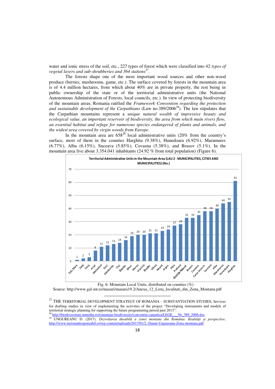water and ionic stress of the soil, etc., 227 types of forest which were classified into 42 *types of*  vegetal layers and sub-shrubberies and 364 stations<sup>27</sup>.

The forests shape one of the most important wood sources and other non-wood produce (berries, mushrooms, game, etc.). The surface covered by forests in the mountain area is of 4.4 million hectares, from which about 40% are in private property, the rest being in public ownership of the state or of the territorial administrative units (the National Autonomous Administration of Forests, local councils, etc.). In view of protecting biodiversity of the mountain areas, Romania ratified the *Framework Convention regarding the protection*  and sustainable development of the Carpathians (Law no.389/2006<sup>28</sup>). The law stipulates that the Carpathian mountains represent a *unique natural wealth of impressive beauty and ecological value, an important reservoir of biodiversity, the area from which main rivers flow, an essential habitat and refuge for numerous species endangered of plants and animals, and the widest area covered by virgin woods from Europe.* 

In the mountain area are  $658^{29}$  local administrative units (20% from the country's surface, most of them in the counties Harghita (9.38%), Hunedoara (6.92%), Maramures (6.77%), Alba (6.15%), Suceava (5.85%), Covasna (5.38%), and Brasov (5.1%). In the mountain area live about 3.354.041 inhabitants (24.92 % from total population) (Figure 6).



Fig. 6: Mountain Local Units, distributed on counties (%)

Source: [http://www.gal-mt.ro/masuri/masura19.2/Anexa\\_12\\_Lista\\_localitati\\_din\\_Zona\\_Montana.pdf](http://www.gal-mt.ro/masuri/masura19.2/Anexa_12_Lista_localitati_din_Zona_Montana.pdf) 

<u>.</u>

 $^\mathrm{27}$  THE TERRITORIAL DEVELOPMENT STRATEGY OF ROMANIA – SUBSTANTIATION STUDIES, Services for drafting studies in view of implementing the activities of the project "Developing instruments and models of territorial strategic planning for supporting the future programming period past 2013".

<sup>&</sup>lt;sup>28</sup> [http://biodiversitate.mmediu.ro/romanian-biodiversity/conventia-carpatica/LEGE\\_\\_\\_Nr\\_389\\_2006.doc](http://biodiversitate.mmediu.ro/romanian-biodiversity/conventia-carpatica/LEGE___Nr_389_2006.doc) <sup>29</sup> UNGUREANU D. (2017), *Dezvoltarea durabilă a zonei montane din România. Realități și perspective*, <http://www.turismulresponsabil.ro/wp-content/uploads/2017/01/2.-Danut-Ungureanu-Zona-montana.pdf>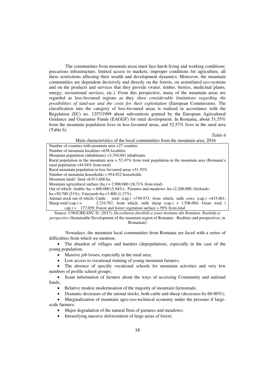The communities from mountain areas must face harsh living and working conditions: precarious infrastructure, limited access to markets, improper conditions for agriculture, all these restrictions affecting their wealth and development dynamics. Moreover, the mountain communities are dependent decisively and directly on the forests, on assimilated eco-systems and on the products and services that they provide (water, timber, berries, medicinal plants, energy, recreational services, etc.). From this perspective, many of the mountain areas are regarded as less-favoured regions as they *show considerable limitations regarding the possibilities of land-use and the costs for their exploitation* (European Commission). The classification into the category of less-favoured areas is realised in accordance with the Regulation (EC) no. 1257/1999 about subventions granted by the European Agricultural Guidance and Guarantee Funds (EAGGF) for rural development. In Romania, about 51.55% from the mountain population lives in less-favoured areas, and 52.57% lives in the rural area (Table 6).

*Table 6* 

Main characteristics of the local communities from the mountain area, 2016

Number of counties with mountain area  $=$  27 counties Number of mountain localities =658 localities Mountain population (inhabitants) =3.354.041 inhabitants Rural population in the mountain area = 52.47% from total population in the mountain area (Romania's rural population =44.94% from total) Rural mountain population in less-favoured areas =51.55% Number of mountain households = 954.922 households Mountain lands' fund =6.911.600 ha Mountain agricultural surface (ha.) =  $2.900.000$  (18,71% from total) Out of which: Arable–ha. = 600.000 (5.84%); Pastures and meadows–ha =2.200.000; Orchards– ha.=50.700 (21%); Vineyards-ha.=3.800 (1,17%). Animal stock out of which: Cattle total (cap.) =749.973, from which, milk cows (cap.) =415.861; Sheep total  $(cap.) = 2.234.767$ , from which, milk sheep  $(cap.) = 1.506.004$ ; Goats total ( cap.) = 177.059; Forest and forest vegetation surface = 59% from total

Source: UNGUREANU D. (2017), *Dezvoltarea durabilă a zonei montane din România. Realități și perspective* (Sustainable Development of the mountain region of Romania - Realities and perspectives, in Romanian)

Nowadays, the mountain local communities from Romania are faced with a series of difficulties from which we mention:

 The abandon of villages and hamlets (depopulation), especially in the case of the young population;

- Massive job losses, especially in the rural area;
- Low access to vocational training of young mountain farmers;

 The absence of specific vocational schools for mountain activities and very low numbers of profile school groups;

 Scant information of farmers about the ways of accessing Community and national funds;

• Relative modest modernisation of the majority of mountain farmsteads;

Dramatic decreases of the animal stocks, both cattle and sheep (decreases by 60-80%);

 Marginalization of mountain agro-zoo-technical economy under the pressure if largescale farmers;

Major degradation of the natural flora of pastures and meadows;

Intensifying massive deforestation of large areas of forest;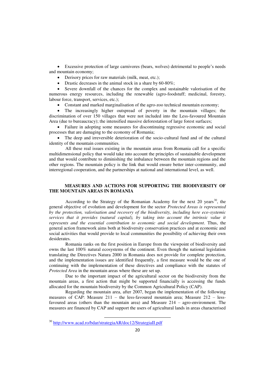Excessive protection of large carnivores (bears, wolves) detrimental to people's needs and mountain economy;

- Derisory prices for raw materials (milk, meat, etc.);
- Drastic decreases in the animal stock in a share by 60-80%;

 Severe downfall of the chances for the complex and sustainable valorisation of the numerous energy resources, including the renewable (agro-foodstuff; medicinal, forestry, labour force, transport, services, etc.);

Constant and marked marginalisation of the agro-zoo technical mountain economy;

 The increasingly higher outspread of poverty in the mountain villages; the discrimination of over 150 villages that were not included into the Less-favoured Mountain Area (due to bureaucracy); the intensified massive deforestation of large forest surfaces;

 Failure in adopting some measures for discontinuing regressive economic and social processes that are damaging to the economy of Romania;

 The deep and irreversible deterioration of the socio-cultural fund and of the cultural identity of the mountain communities.

All these real issues existing in the mountain areas from Romania call for a specific multidimensional policy that would take into account the principles of sustainable development and that would contribute to diminishing the imbalance between the mountain regions and the other regions. The mountain policy is the link that would ensure better inter-community, and interregional cooperation, and the partnerships at national and international level, as well.

# **MEASURES AND ACTIONS FOR SUPPORTING THE BIODIVERSITY OF THE MOUNTAIN AREAS IN ROMANIA**

According to the Strategy of the Romanian Academy for the next 20 years<sup>30</sup>, the general objective of evolution and development for the sector *Protected Areas is represented by the protection, valorisation and recovery of the biodiversity, including here eco-systemic services that it provides (natural capital), by taking into account the intrinsic value it represents and the essential contribution to economic and social development*. Thus, the general action framework aims both at biodiversity conservation practices and at economic and social activities that would provide to local communities the possibility of achieving their own desiderates.

Romania ranks on the first position in Europe from the viewpoint of biodiversity and owns the last 100% natural ecosystems of the continent. Even though the national legislation translating the Directives Natura 2000 in Romania does not provide for complete protection, and the implementation issues are identified frequently, a first measure would be the one of continuing with the implementation of these directives and compliance with the statutes of *Protected Area* in the mountain areas where these are set up.

Due to the important impact of the agricultural sector on the biodiversity from the mountain areas, a first action that might be supported financially is accessing the funds allocated for the mountain biodiversity by the Common Agricultural Policy (CAP).

Regarding the mountain area, after 2007, began the implementation of the following measures of CAP: Measure 211 – the less-favoured mountain area; Measure 212 – lessfavoured areas (others than the mountain area) and Measure 214 – agro-environment. The measures are financed by CAP and support the users of agricultural lands in areas characterised

<sup>&</sup>lt;u>.</u> <sup>30</sup> <http://www.acad.ro/bdar/strategiaAR/doc12/StrategiaII.pdf>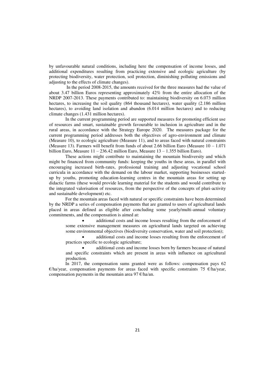by unfavourable natural conditions, including here the compensation of income losses, and additional expenditures resulting from practicing extensive and ecologic agriculture (by protecting biodiversity, water protection, soil protection, diminishing polluting emissions and adjusting to the effects of climate changes).

 In the period 2008-2015, the amounts received for the three measures had the value of about 3.47 billion Euros representing approximately 42% from the entire allocation of the NRDP 2007-2013. These payments contributed to: maintaining biodiversity on 6.073 million hectares, to increasing the soil quality (864 thousand hectares), water quality (2.186 million hectares), to avoiding land isolation and abandon (6.014 million hectares) and to reducing climate changes (1.431 million hectares).

In the current programming period are supported measures for promoting efficient use of resources and smart, sustainable growth favourable to inclusion in agriculture and in the rural areas, in accordance with the Strategy Europe 2020. The measures package for the current programming period addresses both the objectives of agro-environment and climate (Measure 10), to ecologic agriculture (Measure 11), and to areas faced with natural constraints (Measure 13). Farmers will benefit from funds of about 2.66 billion Euro (Measure  $10 - 1.071$ ) billion Euro, Measure 11 – 236.42 million Euro, Measure 13 – 1.355 billion Euro).

These actions might contribute to maintaining the mountain biodiversity and which might be financed from community funds: keeping the youths in these areas, in parallel with encouraging increased birth-rates, professional training and adjusting vocational school curricula in accordance with the demand on the labour market, supporting businesses startedup by youths, promoting education-learning centres in the mountain areas for setting up didactic farms (these would provide learning material for the students and would contribute to the integrated valorisation of resources, from the perspective of the concepts of pluri-activity and sustainable development) etc.

For the mountain areas faced with natural or specific constraints have been determined by the NRDP a series of compensation payments that are granted to users of agricultural lands placed in areas defined as eligible after concluding some yearly/multi-annual voluntary commitments, and the compensation is aimed at:

 additional costs and income losses resulting from the enforcement of some extensive management measures on agricultural lands targeted on achieving some environmental objectives (biodiversity conservation, water and soil protection);

 additional costs and income losses resulting from the enforcement of practices specific to ecologic agriculture;

 additional costs and income losses born by farmers because of natural and specific constraints which are present in areas with influence on agricultural production.

In 2017, the compensation sums granted were as follows: compensation pays 62  $\epsilon$ /ha/year, compensation payments for areas faced with specific constraints 75  $\epsilon$ /ha/year, compensation payments in the mountain area 97  $\varepsilon$ /ha/an.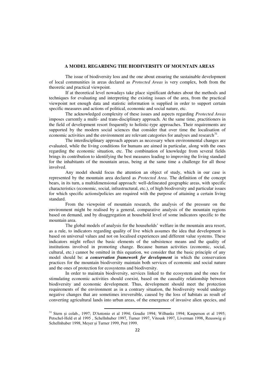### **A MODEL REGARDING THE BIODIVERSITY OF MOUNTAIN AREAS**

The issue of biodiversity loss and the one about ensuring the sustainable development of local communities in areas declared as *Protected Areas* is very complex, both from the theoretic and practical viewpoint.

If at theoretical level nowadays take place significant debates about the methods and techniques for evaluating and interpreting the existing issues of the area, from the practical viewpoint not enough data and statistic information is supplied in order to support certain specific measures and actions of political, economic and social nature, etc.

The acknowledged complexity of these issues and aspects regarding *Protected Areas*  imposes currently a multi- and trans-disciplinary approach. At the same time, practitioners in the field of development resort frequently to holistic-type approaches. Their requirements are supported by the modern social sciences that consider that over time the localisation of economic activities and the environment are relevant categories for analyses and research $31$ .

The interdisciplinary approach appears as necessary when environmental changes are evaluated, while the living conditions for humans are aimed in particular, along with the ones regarding the economic situation, etc. The combination of knowledge from several fields brings its contribution to identifying the best measures leading to improving the living standard for the inhabitants of the mountain areas, being at the same time a challenge for all those involved.

Any model should focus the attention an object of study, which in our case is represented by the mountain area declared as *Protected Area*. The definition of the concept bears, in its turn, a multidimensional approach: well-delineated geographic areas, with specific characteristics (economic, social, infrastructural, etc.), of high biodiversity and particular issues for which specific actions/policies are required with the purpose of attaining a certain living standard.

From the viewpoint of mountain research, the analysis of the pressure on the environment might be realised by a general, comparative analysis of the mountain regions based on demand, and by disaggregation at household level of some indicators specific to the mountain area.

The global models of analysis for the households' welfare in the mountain area resort, as a rule, to indicators regarding quality of live which assumes the idea that development is based on universal values and not on localised experiences and different value systems. These indicators might reflect the basic elements of the subsistence means and the quality of institutions involved in promoting change. Because human activities (economic, social, cultural, etc.) cannot be omitted in this equation, we consider that the basic principle of any model should be: *a conservation framework for development* in which the conservation practices for the mountain biodiversity maintain both services of economic and social nature and the ones of protection for ecosystems and biodiversity.

In order to maintain biodiversity, services linked to the ecosystem and the ones for stimulating economic activities should coexist, based on the causality relationship between biodiversity and economic development. Thus, development should meet the protection requirements of the environment as in a contrary situation, the biodiversity would undergo negative changes that are sometimes irreversible, caused by the loss of habitats as result of converting agricultural lands into urban areas, of the emergence of invasive alien species, and

<u>.</u>

<sup>&</sup>lt;sup>31</sup> Stern și colab., 1997; D'Antonio et al 1994; Goudie 1994; Wilbanks 1994; Kasperson et al 1995; Petschel-Held et al 1995 , Schellnhuber 1997, Turner 1997, Vitousk 1997, Liverman 1998, Reusswig și Schellnhuber 1998, Meyer și Turner 1999, Pret 1999.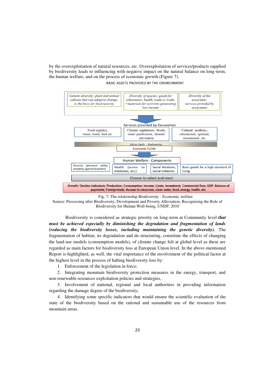by the overexploitation of natural resources, etc. Overexploitation of services/products supplied by biodiversity leads to influencing with negative impact on the natural balance on long-term, the human welfare, and on the process of economic growth (Figure 7). BASIC ASSETS PROVIDED BY THE ENVIRONMENT



Fig. 7: The relationship Biodiversity - Economic welfare Source: Processing after Biodiversity, Development and Poverty Alleviation, Recognizing the Role of Biodiversity for Human Well-being, UNDP, 2010

Biodiversity is considered as strategic priority on long-term at Community level *that must be achieved especially by diminishing the degradation and fragmentation of lands (reducing the biodiversity losses, including maintaining the genetic diversity).* The fragmentation of habitat, its degradation and de-structuring, constitute the effects of changing the land-use models (consumption models), of climate change felt at global level as these are regarded as main factors for biodiversity loss at European Union level. In the above-mentioned Report is highlighted, as well, the vital importance of the involvement of the political factor at the highest level in the process of halting biodiversity loss by:

1. Enforcement of the legislation in force;

2. Integrating mountain biodiversity protection measures in the energy, transport, and non-renewable resources exploitation policies and strategies,

3. Involvement of national, regional and local authorities in providing information regarding the damage degree of the biodiversity;

4. Identifying some specific indicators that would ensure the scientific evaluation of the state of the biodiversity based on the rational and sustainable use of the resources from mountain areas.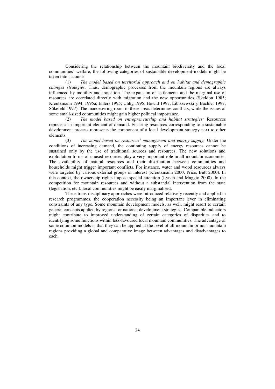Considering the relationship between the mountain biodiversity and the local communities' welfare, the following categories of sustainable development models might be taken into account:<br> $(1)$  Th

(1) *The model based on territorial approach and on habitat and demographic changes strategies.* Thus, demographic processes from the mountain regions are always influenced by mobility and transition. The expansion of settlements and the marginal use of resources are correlated directly with migration and the new opportunities (Skeldon 1985; Kreutzmann 1994, 1995a; Ehlers 1995; Uhlig 1995, Hewitt 1997, Libiszewski și Bächler 1997, Sökefeld 1997). The manoeuvring room in these areas determines conflicts, while the issues of some small-sized communities might gain higher political importance.

(2) *The model based on entrepreneurship and habitat strategies:* Resources represent an important element of demand. Ensuring resources corresponding to a sustainable development process represents the component of a local development strategy next to other elements.

(3) *The model based on resources' management and energy supply:* Under the conditions of increasing demand, the continuing supply of energy resources cannot be sustained only by the use of traditional sources and resources. The new solutions and exploitation forms of unused resources play a very important role in all mountain economies. The availability of natural resources and their distribution between communities and households might trigger important conflicts. For instance, water and wood resources always were targeted by various external groups of interest (Kreutzmann 2000; Price, Butt 2000). In this context, the ownership rights impose special attention (Lynch and Maggio 2000). In the competition for mountain resources and without a substantial intervention from the state (legislation, etc.), local communities might be easily marginalised.

These trans-disciplinary approaches were introduced relatively recently and applied in research programmes, the cooperation necessity being an important lever in eliminating constraints of any type. Some mountain development models, as well, might resort to certain general concepts applied by regional or national development strategies. Comparable indicators might contribute to improved understanding of certain categories of disparities and to identifying some functions within less-favoured local mountain communities. The advantage of some common models is that they can be applied at the level of all mountain or non-mountain regions providing a global and comparative image between advantages and disadvantages to each.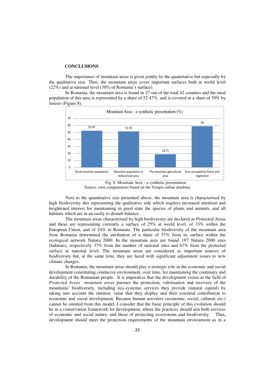#### **CONCLUSIONS**

The importance of mountain areas is given jointly by the quantitative but especially by the qualitative size. Thus, the mountain areas cover important surfaces both at world level (22%) and at national level (30% of Romania's surface).

In Romania, the mountain area is found in 27 out of the total 42 counties and the rural population of this area is represented by a share of 52.47%, and is covered in a share of 59% by forests (Figure 8).



Source: own computations based on the Tempo-online database

Next to the quantitative size presented above, the mountain area is characterised by high biodiversity this representing the qualitative side which requires increased attention and heightened interest for maintaining in good state the species of plants and animals, and all habitats which are in an easily to disturb balance.

The mountain areas characterised by high biodiversity are declared as Protected Areas and these are representing currently a surface of 25% at world level, of 33% within the European Union, and of 24% in Romania. The particular biodiversity of the mountain area from Romania determined the attribution of a share of 57% from its surface within the ecological network Natura 2000. In the mountain area are found 197 Natura 2000 sites (habitats), respectively 37% from the number of national sites and 67% from the protected surface at national level. The mountain areas are considered as important sources of biodiversity but, at the same time, they are faced with significant adjustment issues to new climate changes.

In Romania, the mountain areas should play a strategic role in the economic and social development constituting conducive environment, over time, for maintaining the continuity and durability of the Romanian people. It is imperative that the development vision in the field of *Protected Areas –mountain areas* pursues the protection, valorisation and recovery of the mountains' biodiversity, including eco-systemic services they provide (natural capital) by taking into account the intrinsic value that they display and their essential contribution to economic and social development. Because human activities (economic, social, cultural, etc.) cannot be omitted from this model, I consider that the basic principle of this evolution should be in a conservation framework for development, where the practices should aim both services of economic and social nature, and those of protecting ecosystems and biodiversity. Thus, development should meet the protection requirements of the mountain environment as in a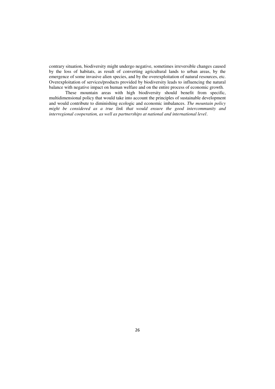contrary situation, biodiversity might undergo negative, sometimes irreversible changes caused by the loss of habitats, as result of converting agricultural lands to urban areas, by the emergence of some invasive alien species, and by the overexploitation of natural resources, etc. Overexploitation of services/products provided by biodiversity leads to influencing the natural balance with negative impact on human welfare and on the entire process of economic growth.

These mountain areas with high biodiversity should benefit from specific, multidimensional policy that would take into account the principles of sustainable development and would contribute to diminishing ecologic and economic imbalances. *The mountain policy might be considered as a true link that would ensure the good intercommunity and interregional cooperation, as well as partnerships at national and international level*.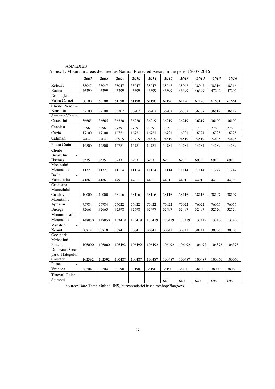|                                        | 2007   | 2008           | 2009   | 2010   | 2011   | 2012   | 2013   | 2014   | 2015   | 2016   |
|----------------------------------------|--------|----------------|--------|--------|--------|--------|--------|--------|--------|--------|
| Retezat                                | 38047  | 38047          | 38047  | 38047  | 38047  | 38047  | 38047  | 38047  | 38316  | 38316  |
| Rodna                                  | 46399  | 46399          | 46399  | 46399  | 46399  | 46399  | 46399  | 46399  | 47202  | 47202  |
| Domogled                               |        |                |        |        |        |        |        |        |        |        |
| Valea Cernei                           | 60100  | 60100          | 61190  | 61190  | 61190  | 61190  | 61190  | 61190  | 61661  | 61661  |
| Cheile Nerei -                         |        |                |        |        |        |        |        |        |        |        |
| Beusnita                               | 37100  | 37100          | 36707  | 36707  | 36707  | 36707  | 36707  | 36707  | 36812  | 36812  |
| Semenic/Cheile                         |        |                |        |        |        |        |        |        |        |        |
| Carasului                              | 36665  | 36665          | 36220  | 36220  | 36219  | 36219  | 36219  | 36219  | 36100  | 36100  |
| Ceahlau                                | 8396   | 8396           | 7739   | 7739   | 7739   | 7739   | 7739   | 7739   | 7763   | 7763   |
| Cozia                                  | 17100  | 17100          | 16721  | 16721  | 16721  | 16721  | 16721  | 16721  | 16725  | 16725  |
| Calimani                               | 24041  | 24041          | 23915  | 23915  | 24519  | 24519  | 24519  | 24519  | 24435  | 24435  |
| Piatra Craiului                        | 14800  | 14800          | 14781  | 14781  | 14781  | 14781  | 14781  | 14781  | 14789  | 14789  |
| Cheile                                 |        |                |        |        |        |        |        |        |        |        |
| Bicazului<br>$\overline{\phantom{0}}$  |        |                |        |        |        |        |        |        |        |        |
| Hasmas                                 | 6575   | 6575           | 6933   | 6933   | 6933   | 6933   | 6933   | 6933   | 6913   | 6913   |
| Macinului                              |        |                |        |        |        |        |        |        |        |        |
| Mountains                              | 11321  | 11321          | 11114  | 11114  | 11114  | 11114  | 11114  | 11114  | 11247  | 11247  |
| Buila<br>$\equiv$                      |        |                |        |        |        |        |        |        |        |        |
| Vanturarita<br>Gradistea               | 4186   | 4186           | 4491   | 4491   | 4491   | 4491   | 4491   | 4491   | 4479   | 4479   |
| Muncelului<br>$\overline{\phantom{a}}$ |        |                |        |        |        |        |        |        |        |        |
| Cioclovina                             | 10000  | 10000          | 38116  | 38116  | 38116  | 38116  | 38116  | 38116  | 38107  | 38107  |
| Mountains                              |        |                |        |        |        |        |        |        |        |        |
| Apuseni                                | 75784  | 75784          | 76022  | 76022  | 76022  | 76022  | 76022  | 76022  | 76055  | 76055  |
| Bucegi                                 | 32663  | 32663          | 32598  | 32598  | 32497  | 32497  | 32497  | 32497  | 32520  | 32520  |
| Maramuresului                          |        |                |        |        |        |        |        |        |        |        |
| Mountains                              | 148850 | 148850         | 133419 | 133419 | 133419 | 133419 | 133419 | 133419 | 133450 | 133450 |
| Vanatori<br>$\Box$                     |        |                |        |        |        |        |        |        |        |        |
| Neamt                                  | 30818  | 30818          | 30841  | 30841  | 30841  | 30841  | 30841  | 30841  | 30706  | 30706  |
| Geo-park                               |        |                |        |        |        |        |        |        |        |        |
| Mehedinti                              |        |                |        |        |        |        |        |        |        |        |
| Plateau                                | 106000 | 106000         | 106492 | 106492 | 106492 | 106492 | 106492 | 106492 | 106376 | 106376 |
| Dinosaurs Geo-                         |        |                |        |        |        |        |        |        |        |        |
| park Hategului                         |        |                |        |        |        |        |        |        |        |        |
| Country                                | 102392 | 102392         | 100487 | 100487 | 100487 | 100487 | 100487 | 100487 | 100050 | 100050 |
| Putna<br>$\overline{a}$                | 38204  |                |        |        |        |        |        |        |        |        |
| Vrancea                                |        | 38204          | 38190  | 38190  | 38190  | 38190  | 38190  | 38190  | 38060  | 38060  |
| Tinovul Poiana                         |        |                |        |        |        |        |        |        |        |        |
| Stampei                                |        | $\ddot{\cdot}$ |        |        |        | 640    | 640    | 640    | 696    | 696    |

Annex 1: Mountain areas declared as Natural Protected Areas, in the period 2007-2016

ANNEXES

Source: Date Temp-Online, INS[, http://statistici.insse.ro/shop/?lang=ro](http://statistici.insse.ro/shop/?lang=ro)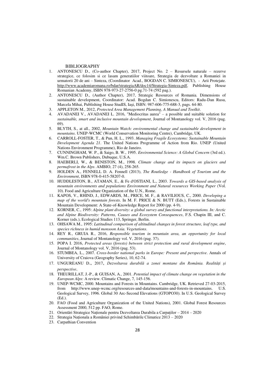#### BIBLIOGRAPHY

- 1. ANTONESCU D., (Co-author Chapter), 2017, Project No. 2 Resursele naturale rezerve strategice, ce folosim si ce lasam generatiilor viitoare, Strategia de dezvoltare a Romaniei in urmatorii 20 de ani – Sinteza, (Coordinator Acad., BOGDAN C. SIMIONESCU), - Arii Protejate. [http://www.academiaromana.ro/bdar/strategiaAR/doc14/Strategia-Sinteza.pdf,](http://www.academiaromana.ro/bdar/strategiaAR/doc14/Strategia-Sinteza.pdf) Publishing House Romanian Academy, ISBN 978-973-27-2756-0 pg.71-74 (592 pag.).
- 2. ANTONESCU D., (Author Chapter), 2017, Strategic Resources of Romania. Dimensions of sustainable development, Coordinator: Acad. Bogdan C. Simionescu, Editors: Radu-Dan Rusu, Marcela Mihai, Publishing House StudIS, Iaşi, ISBN: 987-606-775-688-3, pags. 64-80.
- 3. APPLETON M., 2012, *Protected Area Management Planning, A Manual and Toolkit*.
- 4. AVADANEI V., AVADANEI L. 2016, "Mediocritas aurea" a possible and suitable solution for *sustainable, smart and inclusive mountain development*, Journal of Montanology vol. V, 2016 (pag. 69).
- 5. BLYTH, S., at all., 2002, *Mountain Watch: environmental change and sustainable development in mountains*. UNEP-WCMC (World Conservation Monitoring Centre), Cambridge, UK.
- 6. CARROLL-FOSTER, T., & Pun, H. L., 1993. *Managing Fragile Ecosystems: Sustainable Mountain Development Agenda 21*. The United Nations Programme of Action from Rio. UNEP (United Nations Environment Programme), Rio de Janeiro.
- 7. CUNNINGHAM, W. P., & Saigo, B. W., 1995. *Environmental Science: A Global Concern* (3rd ed.). Wm.C. Brown Publishers, Dubuque, U.S.A.
- 8. HAEBERLI, W., & BENISTON, M., 1998. *Climate change and its impacts on glaciers and permafrost in the Alps*. AMBIO, 27 (4), 258-265.
- 9. HOLDEN A., FENNELL D. A. Fennell (2013), *The Routledge Handbook of Tourism and the Environment*, ISBN 978-0-415-58207-0.
- 10. HUDDLESTON, B., ATAMAN, E., & Fe d'OSTIANI, L., 2003. *Towards a GIS-based analysis of mountain environments and populations Environment and Natural resources Working Paper* (Vol. 10). Food and Agriculture Organization of the U.N., Rome.
- 11. KAPOS, V., RHIND, J., EDWARDS, M., PRICE, M. F., & RAVILIOUS, C., 2000. *Developing a map of the world's mountain forests*. In M. F. PRICE & N. BUTT (Eds.), Forests in Sustainable Mountain Development: A State-of-Knowledge Report for 2000 (pp. 4-9).
- 12. KORNER, C., 1995: *Alpine plant diversity: a global survey and functional interpretations. In: Arctic and Alpine Biodiversity: Patterns, Causes and Ecosystem Consequences*, F.S. Chapin III, and C. Korner (eds.), Ecological Studies 113, Springer, Berlin.
- 13. OHSAWA M., 1995: *Latitudinal comparison of altitudinal changes in forest structure, leaf type, and species richness in humid monsoon Asia. Vegetations*.
- 14. REY R., GRUIA R., 2016, *Responsible tourism in mountain area, an opportunity for local communities*, Journal of Montanology vol. V, 2016 (pag. 37).
- 15. POPA I. 2016, *Protected areas (forests) between strict protection and rural development engine*, Journal of Montanology vol. V, 2016 (pag. 53).
- 16. STUMBEA, L., 2007. *Cross-border national parks in Europe: Present and perspective*. Annals of University of Craiova (Geography Series), 10, 62-74.
- 17. UNGUREANU D., 2017, *Dezvoltarea durabilă a zonei montane din România. Realități și perspective*.
- 18. THEURILLAT, J.-P., & GUISAN, A., 2001. *Potential impact of climate change on vegetation in the European Alps*: A review. Climatic Change, 7, 145-156.
- 19. UNEP-WCMC, 2000. Mountains and Forests in Mountains. Cambridge, UK. Retrieved 27-03-2015, from http://www.unep-wcmc.org/resources-and-data/mountains-and-forests-in-mountains. U.S. Geological Survey, 1996. Global 30 Arc-Second Elevations (GTOPO30). In U.S. Geological Survey (Ed.).
- 20. FAO (Food and Agriculture Organization of the United Nations), 2001. Global Forest Resources Assessment 2000, 512 pp. FAO, Rome.
- 21. Orientări Strategice Naționale pentru Dezvoltarea Durabila a Carpaților 2014 2020
- 22. Strategia Naționala a României privind Schimbările Climatice 2013 2020
- 23. Carpathian Convention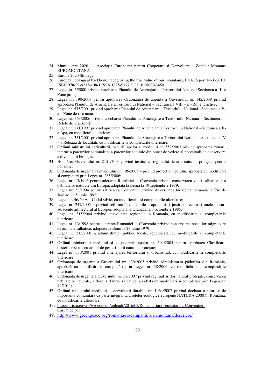- 24. Munții spre 2020 Asociația Europeana pentru Cooperare si Dezvoltare a Zonelor Montane EUROMONTANA
- 25. Europe 2020 Strategy
- 26. Europe's ecological backbone: recognising the true value of our mountains, EEA Report No 6/2010. ISBN 978-92-9213-108-1 ISSN 1725-9177 DOI 10.2800/43450.
- 27. Legea nr. 5/2000 privind aprobarea Planului de Amenajare a Teritoriului National,Sectiunea a III-a Zone protejate;
- 28. Legea nr. 190/2009 pentru aprobarea Ordonantei de urgenta a Guvernului nr. 142/2008 privind aprobarea Planului de Amenajare a Teritoriului National – Sectiunea a VIII – a – Zone turistice;
- 29. Legea nr. 575/2001 privind aprobarea Planului de Amenajare a Teritoriului National –Sectiunea a Va – Zone de risc natural;
- 30. Legea nr. 363/2006 privind aprobarea Planului de Amenajare a Teritoriului Nationa Sectiunea I Retele de Transport;
- 31. Legea nr. 171/1997 privind aprobarea Planului de Amenajare a Teritoriului National –Sectiunea a IIa Apa, cu modificarile ulterioare;
- 32. Legea nr. 351/2001 privind aprobarea Planului de Amenajare a Teritoriului National -Sectiunea a IV – a Reteaua de localitati, cu modificarile si completarile ulterioare;
- 33. Ordinul ministrului agriculturii, padurii, apelor si mediului nr. 552/2003 privind aprobarea zonarii interne a parcurilor nationale si a parcurilor naturale din punct de vedere al necesitatii de conservare a diversitatii biologice;
- 34. Hotarârea Guvernului nr. 2151/2004 privind instituirea regimului de arie naturala protejata pentru noi zone;
- 35. Ordonanta de urgenta a Guvernului nr. 195/2005 privind protectia mediului, aprobata cu modificari si completari prin Legea nr. 265/2006;
- 36. Legea nr. 13/1993 pentru aderarea României la Conventia privind conservarea vietii salbatice si a habitatelor naturale din Europa, adoptata la Berna la 19 septembrie 1979;
- 37. Legea nr. 58/1994 pentru ratificarea Conventiei privind diversitatea biologica, semnata la Rio de Janeiro, la 5 iunie 1992;
- 38. Legea nr. 46/2008 Codul silvic, cu modificarile si completarile ulterioare;
- 39. Legea nr. 247/2005 privind reforma în domeniile proprietatii si justitiei,precum si unele masuri adiacente arhitectural al Europei, adoptata la Granada la 3 octombrie 1985;
- 40. Legea nr. 315/2004 privind dezvoltarea regionala în România, cu modificarile si completarile ulterioare;
- 41. Legea nr. 13/1998 pentru aderarea României la Conventia privind conservarea speciilor migratoare de animale salbatice, adoptata la Bonn la 23 iunie 1979;
- 42. Legea nr. 215/2001 a administratiei publice locale, republicata, cu modificarile si completarile ulterioare;
- 43. Ordinul ministrului mediului si gospodaririi apelor nr. 604/2005 pentru aprobarea Clasificarii pesterilor si a sectoarelor de pesteri - arii naturale protejate;
- 44. Legea nr. 350/2001 privind amenajarea teritoriului si urbanismul, cu modificarile si completarile ulterioare;
- 45. Ordonanța de urgență a Guvernului nr. 139/2005 privind administrarea pădurilor din România, aprobată cu modificări și completări prin Legea nr. 38/2006, cu modificările și completările ulterioare;
- 46. Ordonanta de urgenta a Guvernului nr. 57/2007 privind regimul ariilor natural protejate, conservarea habitatelor naturale, a florei si faunei salbatice, aprobata cu modificari si completari prin Legea nr. 49/2011;
- 47. Ordinul ministrului mediului si dezvoltarii durabile nr. 1964/2007 privind declararea siturilor de importanta comunitara ca parte integranta a retelei ecologice europene NATURA 2000 în România, cu modificarile ulterioare.
- 48. [http://turism.gov.ro/wp-content/uploads/2016/02/Romania-tara-semnatara-a-Conventiei-](http://turism.gov.ro/wp-content/uploads/2016/02/Romania-tara-semnatara-a-Conventiei-Carpatice.pdf)[Carpatice.pdf](http://turism.gov.ro/wp-content/uploads/2016/02/Romania-tara-semnatara-a-Conventiei-Carpatice.pdf)
- 49. <http://www.greenpeace.org/romania/ro/campanii/rosiamontana/descriere/>